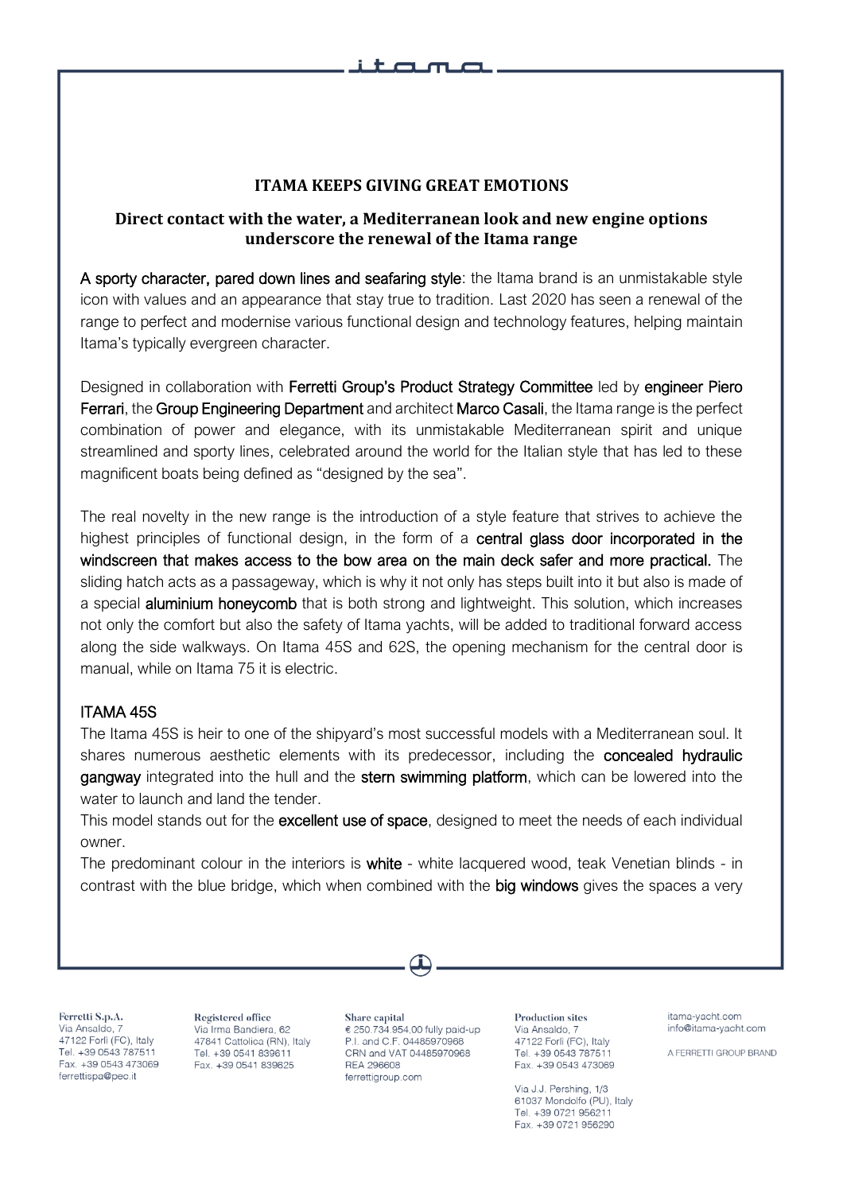## **ITAMA KEEPS GIVING GREAT EMOTIONS**

# **Direct contact with the water, a Mediterranean look and new engine options underscore the renewal of the Itama range**

A sporty character, pared down lines and seafaring style: the Itama brand is an unmistakable style icon with values and an appearance that stay true to tradition. Last 2020 has seen a renewal of the range to perfect and modernise various functional design and technology features, helping maintain Itama's typically evergreen character.

Designed in collaboration with Ferretti Group's Product Strategy Committee led by engineer Piero Ferrari, the Group Engineering Department and architect Marco Casali, the Itama range is the perfect combination of power and elegance, with its unmistakable Mediterranean spirit and unique streamlined and sporty lines, celebrated around the world for the Italian style that has led to these magnificent boats being defined as "designed by the sea".

The real novelty in the new range is the introduction of a style feature that strives to achieve the highest principles of functional design, in the form of a **central glass door incorporated in the** windscreen that makes access to the bow area on the main deck safer and more practical. The sliding hatch acts as a passageway, which is why it not only has steps built into it but also is made of a special aluminium honeycomb that is both strong and lightweight. This solution, which increases not only the comfort but also the safety of Itama yachts, will be added to traditional forward access along the side walkways. On Itama 45S and 62S, the opening mechanism for the central door is manual, while on Itama 75 it is electric.

## ITAMA 45S

The Itama 45S is heir to one of the shipyard's most successful models with a Mediterranean soul. It shares numerous aesthetic elements with its predecessor, including the **concealed hydraulic** gangway integrated into the hull and the stern swimming platform, which can be lowered into the water to launch and land the tender.

This model stands out for the **excellent use of space**, designed to meet the needs of each individual owner.

The predominant colour in the interiors is white - white lacquered wood, teak Venetian blinds - in contrast with the blue bridge, which when combined with the big windows gives the spaces a very

Ferretti S.p.A. Via Ansaldo, 7 47122 Forlì (FC), Italy Tel. +39 0543 787511 Fax. +39 0543 473069 ferrettispa@pec.it

Registered office Via Irma Bandiera, 62 47841 Cattolica (RN), Italy Tel. +39 0541 839611 Fax. +39 0541 839625

Share capital € 250.734.954,00 fully paid-up P.I. and C.F. 04485970968 CRN and VAT 04485970968 **REA 296608** ferrettigroup.com

**Production sites** Via Ansaldo, 7 47122 Forlì (FC), Italy Tel. +39 0543 787511 Fax. +39 0543 473069

Via J.J. Pershing, 1/3 61037 Mondolfo (PU), Italy Tel. +39 0721 956211 Fax. +39 0721 956290

itama-vacht.com info@itama-yacht.com

A FERRETTI GROUP BRAND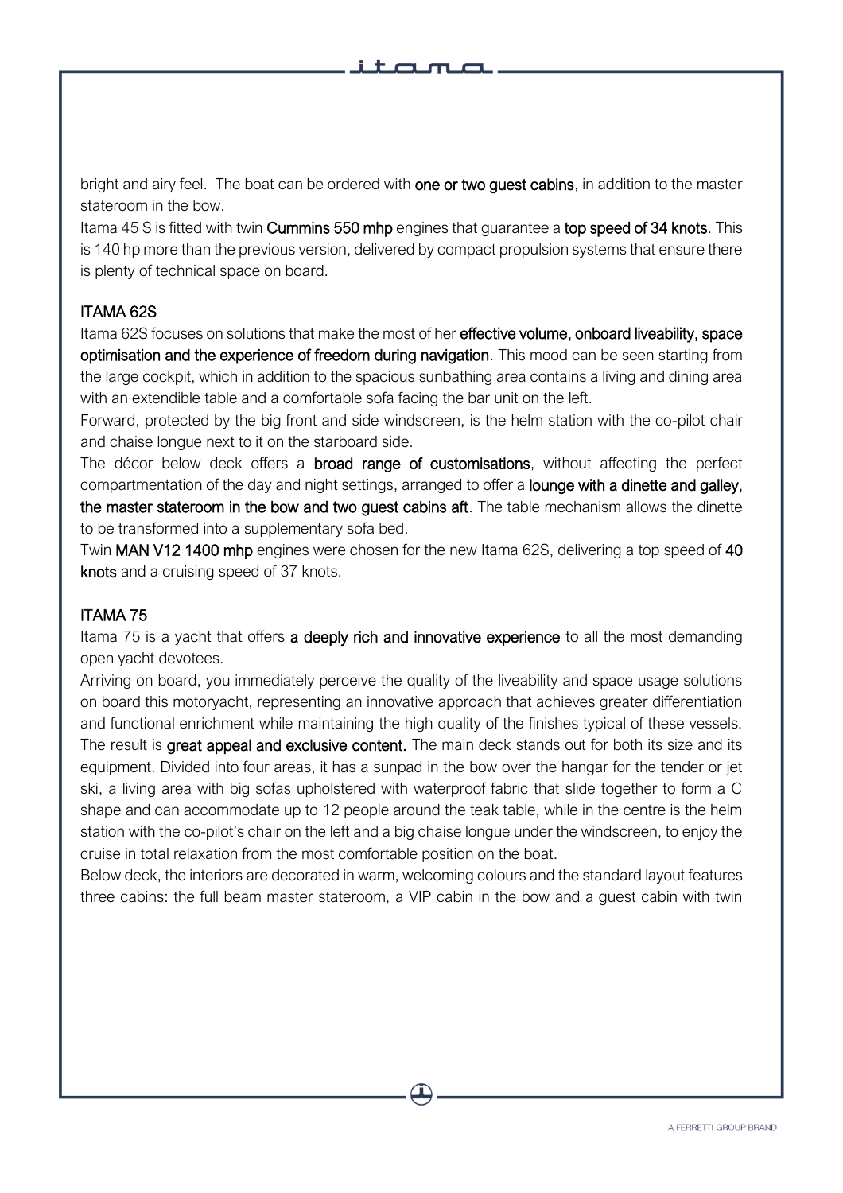bright and airy feel. The boat can be ordered with one or two guest cabins, in addition to the master stateroom in the bow.

Itama 45 S is fitted with twin **Cummins 550 mhp** engines that guarantee a top speed of 34 knots. This is 140 hp more than the previous version, delivered by compact propulsion systems that ensure there is plenty of technical space on board.

# ITAMA 62S

I

Itama 62S focuses on solutions that make the most of her effective volume, onboard liveability, space optimisation and the experience of freedom during navigation. This mood can be seen starting from the large cockpit, which in addition to the spacious sunbathing area contains a living and dining area with an extendible table and a comfortable sofa facing the bar unit on the left.

Forward, protected by the big front and side windscreen, is the helm station with the co-pilot chair and chaise longue next to it on the starboard side.

The décor below deck offers a **broad range of customisations**, without affecting the perfect compartmentation of the day and night settings, arranged to offer a lounge with a dinette and galley, the master stateroom in the bow and two guest cabins aft. The table mechanism allows the dinette to be transformed into a supplementary sofa bed.

Twin MAN V12 1400 mhp engines were chosen for the new Itama 62S, delivering a top speed of 40 knots and a cruising speed of 37 knots.

# ITAMA 75

Itama 75 is a yacht that offers a deeply rich and innovative experience to all the most demanding open yacht devotees.

Arriving on board, you immediately perceive the quality of the liveability and space usage solutions on board this motoryacht, representing an innovative approach that achieves greater differentiation and functional enrichment while maintaining the high quality of the finishes typical of these vessels. The result is great appeal and exclusive content. The main deck stands out for both its size and its equipment. Divided into four areas, it has a sunpad in the bow over the hangar for the tender or jet ski, a living area with big sofas upholstered with waterproof fabric that slide together to form a C shape and can accommodate up to 12 people around the teak table, while in the centre is the helm station with the co-pilot's chair on the left and a big chaise longue under the windscreen, to enjoy the cruise in total relaxation from the most comfortable position on the boat.

Below deck, the interiors are decorated in warm, welcoming colours and the standard layout features three cabins: the full beam master stateroom, a VIP cabin in the bow and a guest cabin with twin